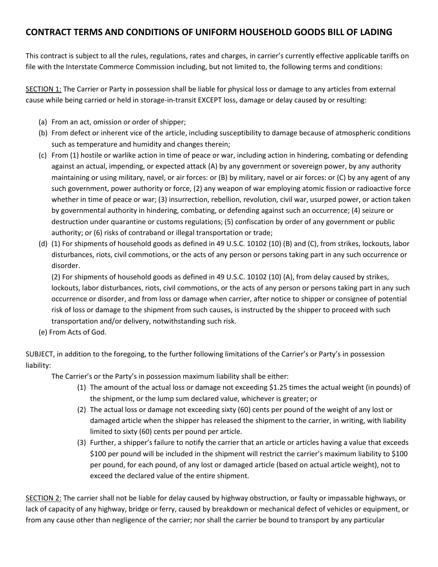## **CONTRACT TERMS AND CONDITIONS OF UNIFORM HOUSEHOLD GOODS BILL OF LADING**

This contract is subject to all the rules, regulations, rates and charges, in carrier's currently effective applicable tariffs on file with the Interstate Commerce Commission including, but not limited to, the following terms and conditions:

SECTION 1: The Carrier or Party in possession shall be liable for physical loss or damage to any articles from external cause while being carried or held in storage-in-transit EXCEPT loss, damage or delay caused by or resulting:

- (a) From an act, omission or order of shipper;
- (b) From defect or inherent vice of the article, including susceptibility to damage because of atmospheric conditions such as temperature and humidity and changes therein;
- (c) From (1) hostile or warlike action in time of peace or war, including action in hindering, combating or defending against an actual, impending, or expected attack (A) by any government or sovereign power, by any authority maintaining or using military, navel, or air forces: or (B) by military, navel or air forces: or (C) by any agent of any such government, power authority or force, (2) any weapon of war employing atomic fission or radioactive force whether in time of peace or war; (3) insurrection, rebellion, revolution, civil war, usurped power, or action taken by governmental authority in hindering, combating, or defending against such an occurrence; (4) seizure or destruction under quarantine or customs regulations; (5) confiscation by order of any government or public authority; or (6) risks of contraband or illegal transportation or trade;
- (d) (1) For shipments of household goods as defined in 49 U.S.C. 10102 (10) (B) and (C), from strikes, lockouts, labor disturbances, riots, civil commotions, or the acts of any person or persons taking part in any such occurrence or disorder.

(2) For shipments of household goods as defined in 49 U.S.C. 10102 (10) (A), from delay caused by strikes, lockouts, labor disturbances, riots, civil commotions, or the acts of any person or persons taking part in any such occurrence or disorder, and from loss or damage when carrier, after notice to shipper or consignee of potential risk of loss or damage to the shipment from such causes, is instructed by the shipper to proceed with such transportation and/or delivery, notwithstanding such risk.

(e) From Acts of God.

SUBJECT, in addition to the foregoing, to the further following limitations of the Carrier's or Party's in possession liability:

The Carrier's or the Party's in possession maximum liability shall be either:

- (1) The amount of the actual loss or damage not exceeding \$1.25 times the actual weight (in pounds) of the shipment, or the lump sum declared value, whichever is greater; or
- (2) The actual loss or damage not exceeding sixty (60) cents per pound of the weight of any lost or damaged article when the shipper has released the shipment to the carrier, in writing, with liability limited to sixty (60) cents per pound per article.
- (3) Further, a shipper's failure to notify the carrier that an article or articles having a value that exceeds \$100 per pound will be included in the shipment will restrict the carrier's maximum liability to \$100 per pound, for each pound, of any lost or damaged article (based on actual article weight), not to exceed the declared value of the entire shipment.

SECTION 2: The carrier shall not be liable for delay caused by highway obstruction, or faulty or impassable highways, or lack of capacity of any highway, bridge or ferry, caused by breakdown or mechanical defect of vehicles or equipment, or from any cause other than negligence of the carrier; nor shall the carrier be bound to transport by any particular